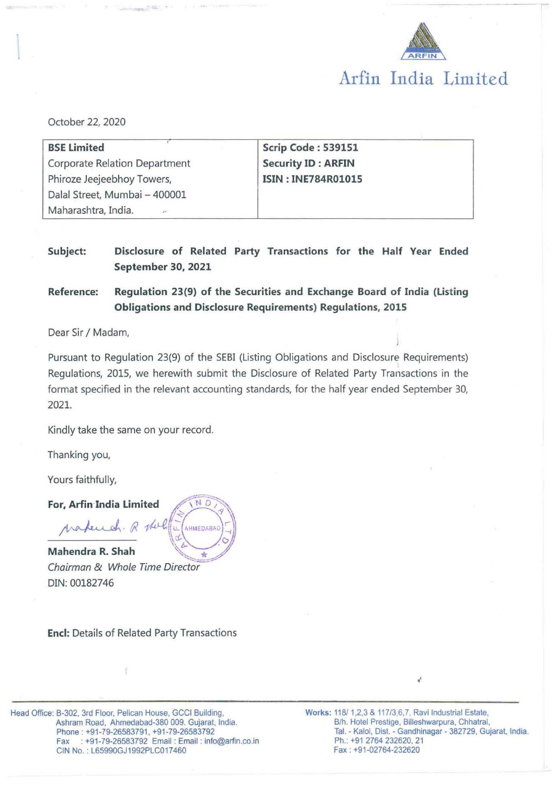

# **Arfin India Limited**

October 22, 2020

| <b>BSE Limited</b>                   | Scrip Code: 539151        |  |  |
|--------------------------------------|---------------------------|--|--|
| <b>Corporate Relation Department</b> | <b>Security ID: ARFIN</b> |  |  |
| Phiroze Jeejeebhoy Towers,           | <b>ISIN: INE784R01015</b> |  |  |
| Dalal Street, Mumbai - 400001        |                           |  |  |
| Maharashtra, India.                  |                           |  |  |

# **Subject: Disclosure of Related Party Transactions for the Half Year Ended September 30, 2021**

**Reference: Regulation 23(9) of the Securities and Exchange Board of India (Listing Obligations and Disclosure Requirements) Regulations, 2015** 

Dear Sir/ Madam,

Pursuant to Regulation 23(9) of the SEBI (Listing Obligations and Disclosure Requirements) Regulations, 2015, we herewith submit the Disclosure of Related Party Transactions in the format specified in the relevant accounting standards, for the half year ended September 30, 2021.

Kindly take the same on your record.

Thanking you,

Yours faithfully,

For, Arfin India Limited

practiced. R There

Mahendra R. Shah Chairman & Whole Time Director DIN: 00182746

**AHMEDABAL** 

**Encl:** Details of Related Party Transactions

Head Office: B-302, 3rd Floor. Pelican House, GCCI Building, Ashram Road, Ahmedabad-380 009. Gujarat, India. Phone: +91-79-26583791, +91-79-26583792 Fax : +91-79-26583792 Email: Email: info@arfin.co.in GIN No.: L65990GJ1992PLC017460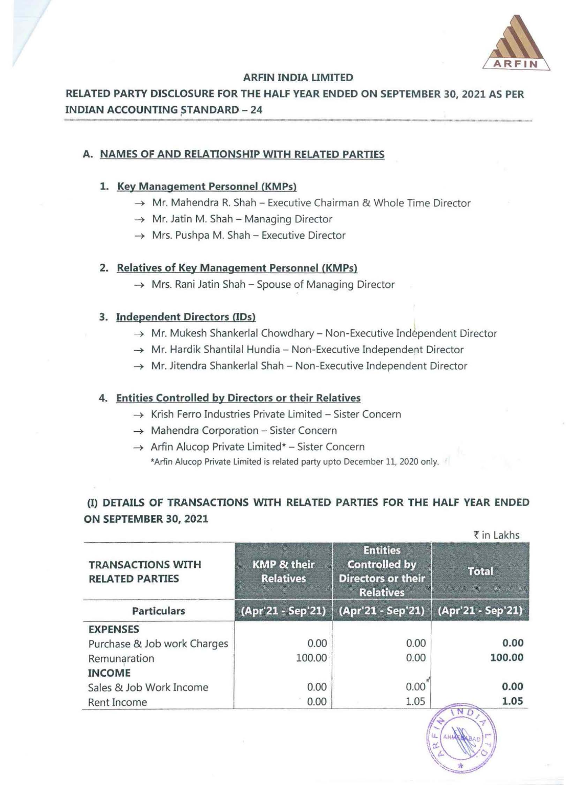

#### ARFIN INDIA LIMITED

# RELATED PARTY DISCLOSURE FOR THE HALF YEAR ENDED ON SEPTEMBER 30, 2021 AS PER INDIAN ACCOUNTING STANDARD - 24

## A. NAMES OF AND RELATIONSHIP WITH RELATED PARTIES

#### 1. Key Management Personnel (KMPs)

- $\rightarrow$  Mr. Mahendra R. Shah Executive Chairman & Whole Time Director
- $\rightarrow$  Mr. Jatin M. Shah Managing Director
- $\rightarrow$  Mrs. Pushpa M. Shah Executive Director

#### 2. Relatives of Key Management Personnel (KMPs)

 $\rightarrow$  Mrs. Rani Jatin Shah - Spouse of Managing Director

#### 3. Independent Directors (IDs)

- $\rightarrow$  Mr. Mukesh Shankerlal Chowdhary Non-Executive Independent Director
- $\rightarrow$  Mr. Hardik Shantilal Hundia Non-Executive Independent Director
- $\rightarrow$  Mr. Jitendra Shankerlal Shah Non-Executive Independent Director

## 4. Entities Controlled by Directors or their Relatives

- $\rightarrow$  Krish Ferro Industries Private Limited Sister Concern
- $\rightarrow$  Mahendra Corporation Sister Concern
- $\rightarrow$  Arfin Alucop Private Limited\* Sister Concern \*Arfin Alucop Private Limited is related party upto December 11, 2020 only.

# (I) DETAILS OF TRANSACTIONS WITH RELATED PARTIES FOR THE HALF YEAR ENDED ON SEPTEMBER 30, 2021

|                                                    |                                            |                                                                                          | ₹ in Lakhs         |  |
|----------------------------------------------------|--------------------------------------------|------------------------------------------------------------------------------------------|--------------------|--|
| <b>TRANSACTIONS WITH</b><br><b>RELATED PARTIES</b> | <b>KMP &amp; their</b><br><b>Relatives</b> | <b>Entities</b><br><b>Controlled by</b><br><b>Directors or their</b><br><b>Relatives</b> | <b>Total</b>       |  |
| <b>Particulars</b>                                 | (Apr'21 - Sep'21)                          | (Apr'21 - Sep'21)                                                                        | (Apr'21 - Sep'21)  |  |
| <b>EXPENSES</b>                                    |                                            |                                                                                          |                    |  |
| Purchase & Job work Charges                        | 0.00                                       | 0.00                                                                                     | 0.00               |  |
| Remunaration                                       | 100.00                                     | 0.00                                                                                     | 100.00             |  |
| <b>INCOME</b>                                      |                                            |                                                                                          |                    |  |
| Sales & Job Work Income                            | 0.00                                       | 0.00                                                                                     | 0.00               |  |
| Rent Income                                        | 0.00                                       | 1.05                                                                                     | 1.05<br>$\sqrt{3}$ |  |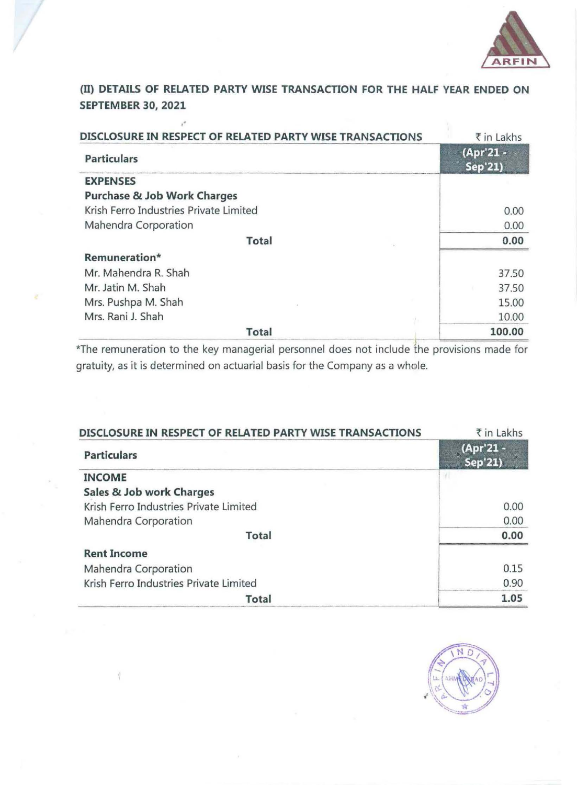

{II) **DETAILS OF RELATED PARTY WISE TRANSACTION FOR THE HALF VEAR ENDED ON SEPTEMBER 30, 2021** 

•'

| DISCLOSURE IN RESPECT OF RELATED PARTY WISE TRANSACTIONS | ₹ in Lakhs                  |
|----------------------------------------------------------|-----------------------------|
| <b>Particulars</b>                                       | (Apr'21 -<br><b>Sep'21)</b> |
| <b>EXPENSES</b>                                          |                             |
| Purchase & Job Work Charges                              |                             |
| Krish Ferro Industries Private Limited                   | 0.00                        |
| Mahendra Corporation                                     | 0.00                        |
| <b>Total</b>                                             | 0.00                        |
| Remuneration*                                            |                             |
| Mr. Mahendra R. Shah                                     | 37.50                       |
| Mr. Jatin M. Shah                                        | 37.50                       |
| Mrs. Pushpa M. Shah                                      | 15.00                       |
| Mrs. Rani J. Shah                                        | 10.00                       |
| <b>Total</b>                                             | 100.00                      |

\*The remuneration to the key managerial personnel does not include the provisions made for gratuity, as it is determined on actuarial basis for the Company as a whole.

| DISCLOSURE IN RESPECT OF RELATED PARTY WISE TRANSACTIONS | ₹ in Lakhs           |  |
|----------------------------------------------------------|----------------------|--|
| <b>Particulars</b>                                       | (Apr'21 -<br>Sep'21) |  |
| <b>INCOME</b>                                            |                      |  |
| Sales & Job work Charges                                 |                      |  |
| Krish Ferro Industries Private Limited                   | 0.00                 |  |
| Mahendra Corporation                                     | 0.00                 |  |
| <b>Total</b>                                             | 0.00                 |  |
| <b>Rent Income</b>                                       |                      |  |
| Mahendra Corporation                                     | 0.15                 |  |
| Krish Ferro Industries Private Limited                   | 0.90                 |  |
| <b>Total</b>                                             | 1.05                 |  |

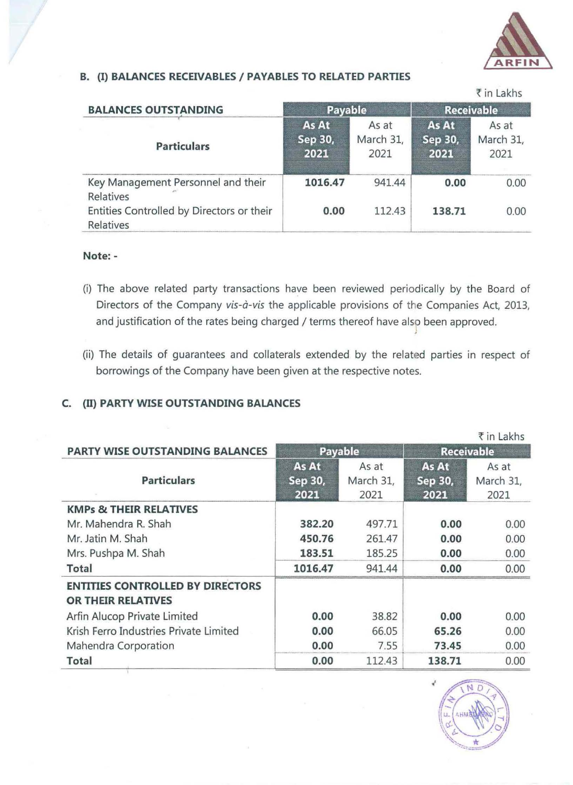

## **B.** (I) **BALANCES RECEIVABLES I PAYABLES TO RELATED PARTIES**

|                                                        |                          |                            |                          | ₹ in Lakhs                 |
|--------------------------------------------------------|--------------------------|----------------------------|--------------------------|----------------------------|
| <b>BALANCES OUTSTANDING</b>                            | <b>Payable</b>           |                            | <b>Receivable</b>        |                            |
| <b>Particulars</b>                                     | As At<br>Sep 30,<br>2021 | As at<br>March 31,<br>2021 | As At<br>Sep 30,<br>2021 | As at<br>March 31,<br>2021 |
| Key Management Personnel and their<br>Relatives        | 1016.47                  | 941.44                     | 0.00                     | 0.00                       |
| Entities Controlled by Directors or their<br>Relatives | 0.00                     | 112.43                     | 138.71                   | 0.00                       |

### **Note:** -

- (i) The above related party transactions have been reviewed periodically by the Board of Directors of the Company vis-à-vis the applicable provisions of the Companies Act, 2013, and justification of the rates being charged / terms thereof have also been approved.
- (ii) The details of guarantees and collaterals extended by the related parties in respect of borrowings of the Company have been given at the respective notes.

## **C.** (II) **PARTY WISE OUTSTANDING BALANCES**

|                                                               |                          |                            |                          | ₹ in Lakhs                 |
|---------------------------------------------------------------|--------------------------|----------------------------|--------------------------|----------------------------|
| <b>PARTY WISE OUTSTANDING BALANCES</b>                        | <b>Payable</b>           |                            | <b>Receivable</b>        |                            |
| <b>Particulars</b>                                            | As At<br>Sep 30,<br>2021 | As at<br>March 31,<br>2021 | As At<br>Sep 30,<br>2021 | As at<br>March 31,<br>2021 |
| <b>KMPs &amp; THEIR RELATIVES</b>                             |                          |                            |                          |                            |
| Mr. Mahendra R. Shah                                          | 382.20                   | 497.71                     | 0.00                     | 0.00                       |
| Mr. Jatin M. Shah                                             | 450.76                   | 261.47                     | 0.00                     | 0.00                       |
| Mrs. Pushpa M. Shah                                           | 183.51                   | 185.25                     | 0.00                     | 0.00                       |
| <b>Total</b>                                                  | 1016.47                  | 941.44                     | 0.00                     | 0.00                       |
| <b>ENTITIES CONTROLLED BY DIRECTORS</b><br>OR THEIR RELATIVES |                          |                            |                          |                            |
| Arfin Alucop Private Limited                                  | 0.00                     | 38.82                      | 0.00                     | 0.00                       |
| Krish Ferro Industries Private Limited                        | 0.00                     | 66.05                      | 65.26                    | 0.00                       |
| Mahendra Corporation                                          | 0.00                     | 7.55                       | 73.45                    | 0.00                       |
| Total                                                         | 0.00                     | 112.43                     | 138.71                   | 0.00                       |